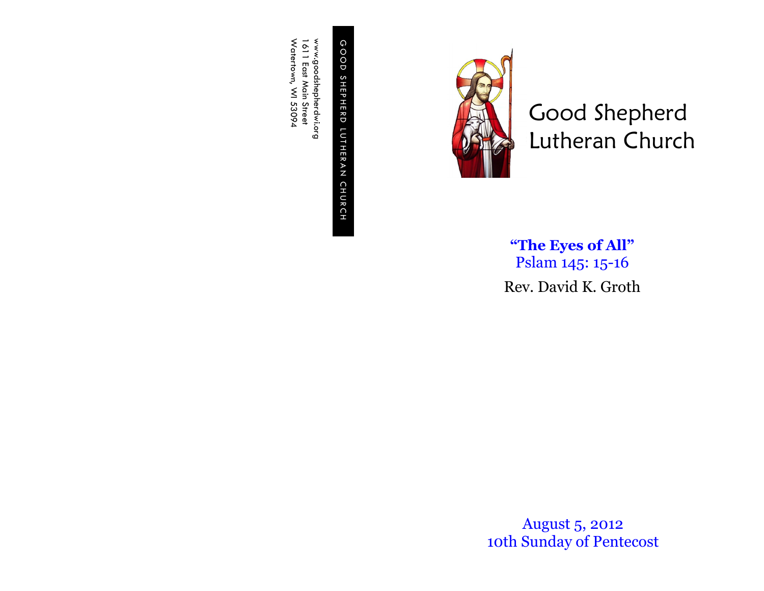G O O D S H E P H E R D L U T H E R GOOD SHEPHERD LUTHERAN CHURCH C H U R C H

www.goodshepherdwi.org<br>1611 East Main Street<br>Watertown, WI 53094 Watertown, WI 53094 www.goodshepherdwi.org 1611 East Main Street



Good Shepherd Lutheran Church

**"The Eyes of All"** Pslam 145: 15-16 Rev. David K. Groth

August 5, 2012 10th Sunday of Pentecost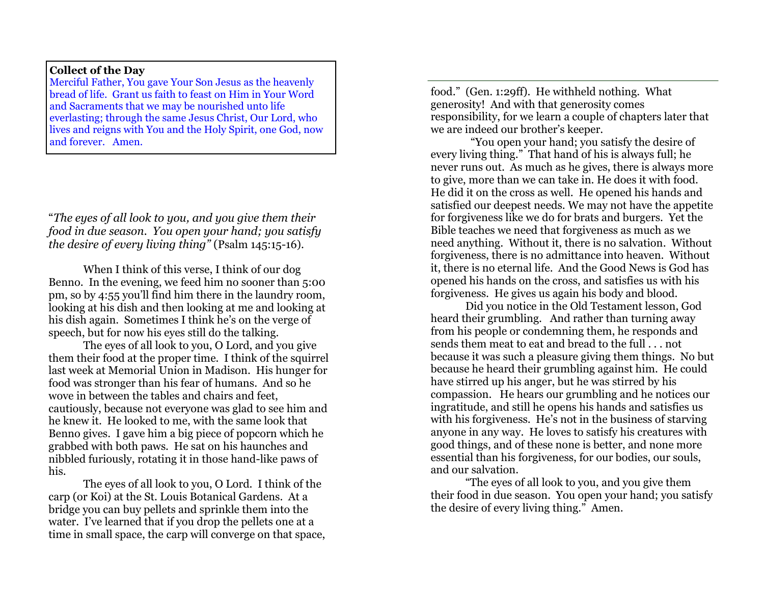## **Collect of the Day**

Merciful Father, You gave Your Son Jesus as the heavenly bread of life. Grant us faith to feast on Him in Your Word and Sacraments that we may be nourished unto life everlasting; through the same Jesus Christ, Our Lord, who lives and reigns with You and the Holy Spirit, one God, now and forever. Amen.

"*The eyes of all look to you, and you give them their food in due season. You open your hand; you satisfy the desire of every living thing"* (Psalm 145:15-16).

When I think of this verse, I think of our dog Benno. In the evening, we feed him no sooner than 5:00 pm, so by 4:55 you'll find him there in the laundry room, looking at his dish and then looking at me and looking at his dish again. Sometimes I think he's on the verge of speech, but for now his eyes still do the talking.

The eyes of all look to you, O Lord, and you give them their food at the proper time. I think of the squirrel last week at Memorial Union in Madison. His hunger for food was stronger than his fear of humans. And so he wove in between the tables and chairs and feet, cautiously, because not everyone was glad to see him and he knew it. He looked to me, with the same look that Benno gives. I gave him a big piece of popcorn which he grabbed with both paws. He sat on his haunches and nibbled furiously, rotating it in those hand-like paws of his.

The eyes of all look to you, O Lord. I think of the carp (or Koi) at the St. Louis Botanical Gardens. At a bridge you can buy pellets and sprinkle them into the water. I've learned that if you drop the pellets one at a time in small space, the carp will converge on that space, food." (Gen. 1:29ff). He withheld nothing. What generosity! And with that generosity comes responsibility, for we learn a couple of chapters later that we are indeed our brother's keeper.

 "You open your hand; you satisfy the desire of every living thing." That hand of his is always full; he never runs out. As much as he gives, there is always more to give, more than we can take in. He does it with food. He did it on the cross as well. He opened his hands and satisfied our deepest needs. We may not have the appetite for forgiveness like we do for brats and burgers. Yet the Bible teaches we need that forgiveness as much as we need anything. Without it, there is no salvation. Without forgiveness, there is no admittance into heaven. Without it, there is no eternal life. And the Good News is God has opened his hands on the cross, and satisfies us with his forgiveness. He gives us again his body and blood.

Did you notice in the Old Testament lesson, God heard their grumbling. And rather than turning away from his people or condemning them, he responds and sends them meat to eat and bread to the full . . . not because it was such a pleasure giving them things. No but because he heard their grumbling against him. He could have stirred up his anger, but he was stirred by his compassion. He hears our grumbling and he notices our ingratitude, and still he opens his hands and satisfies us with his forgiveness. He's not in the business of starving anyone in any way. He loves to satisfy his creatures with good things, and of these none is better, and none more essential than his forgiveness, for our bodies, our souls, and our salvation.

"The eyes of all look to you, and you give them their food in due season. You open your hand; you satisfy the desire of every living thing." Amen.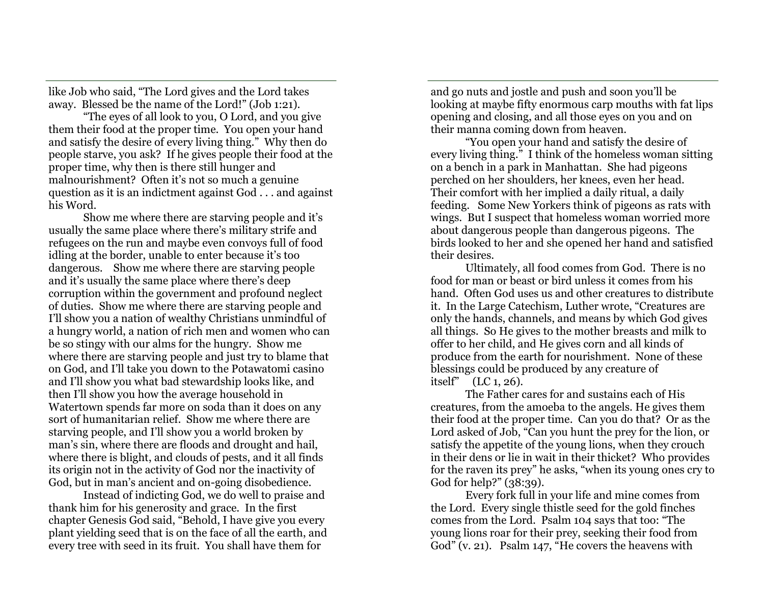like Job who said, "The Lord gives and the Lord takes away. Blessed be the name of the Lord!" (Job 1:21).

"The eyes of all look to you, O Lord, and you give them their food at the proper time. You open your hand and satisfy the desire of every living thing." Why then do people starve, you ask? If he gives people their food at the proper time, why then is there still hunger and malnourishment? Often it's not so much a genuine question as it is an indictment against God . . . and against his Word.

Show me where there are starving people and it's usually the same place where there's military strife and refugees on the run and maybe even convoys full of food idling at the border, unable to enter because it's too dangerous. Show me where there are starving people and it's usually the same place where there's deep corruption within the government and profound neglect of duties. Show me where there are starving people and I'll show you a nation of wealthy Christians unmindful of a hungry world, a nation of rich men and women who can be so stingy with our alms for the hungry. Show me where there are starving people and just try to blame that on God, and I'll take you down to the Potawatomi casino and I'll show you what bad stewardship looks like, and then I'll show you how the average household in Watertown spends far more on soda than it does on any sort of humanitarian relief. Show me where there are starving people, and I'll show you a world broken by man's sin, where there are floods and drought and hail, where there is blight, and clouds of pests, and it all finds its origin not in the activity of God nor the inactivity of God, but in man's ancient and on-going disobedience.

Instead of indicting God, we do well to praise and thank him for his generosity and grace. In the first chapter Genesis God said, "Behold, I have give you every plant yielding seed that is on the face of all the earth, and every tree with seed in its fruit. You shall have them for

and go nuts and jostle and push and soon you'll be looking at maybe fifty enormous carp mouths with fat lips opening and closing, and all those eyes on you and on their manna coming down from heaven.

"You open your hand and satisfy the desire of every living thing." I think of the homeless woman sitting on a bench in a park in Manhattan. She had pigeons perched on her shoulders, her knees, even her head. Their comfort with her implied a daily ritual, a daily feeding. Some New Yorkers think of pigeons as rats with wings. But I suspect that homeless woman worried more about dangerous people than dangerous pigeons. The birds looked to her and she opened her hand and satisfied their desires.

Ultimately, all food comes from God. There is no food for man or beast or bird unless it comes from his hand. Often God uses us and other creatures to distribute it. In the Large Catechism, Luther wrote, "Creatures are only the hands, channels, and means by which God gives all things. So He gives to the mother breasts and milk to offer to her child, and He gives corn and all kinds of produce from the earth for nourishment. None of these blessings could be produced by any creature of itself" (LC 1, 26).

The Father cares for and sustains each of His creatures, from the amoeba to the angels. He gives them their food at the proper time. Can you do that? Or as the Lord asked of Job, "Can you hunt the prey for the lion, or satisfy the appetite of the young lions, when they crouch in their dens or lie in wait in their thicket? Who provides for the raven its prey" he asks, "when its young ones cry to God for help?" (38:39).

Every fork full in your life and mine comes from the Lord. Every single thistle seed for the gold finches comes from the Lord. Psalm 104 says that too: "The young lions roar for their prey, seeking their food from God" (v. 21). Psalm 147, <sup>"</sup>He covers the heavens with